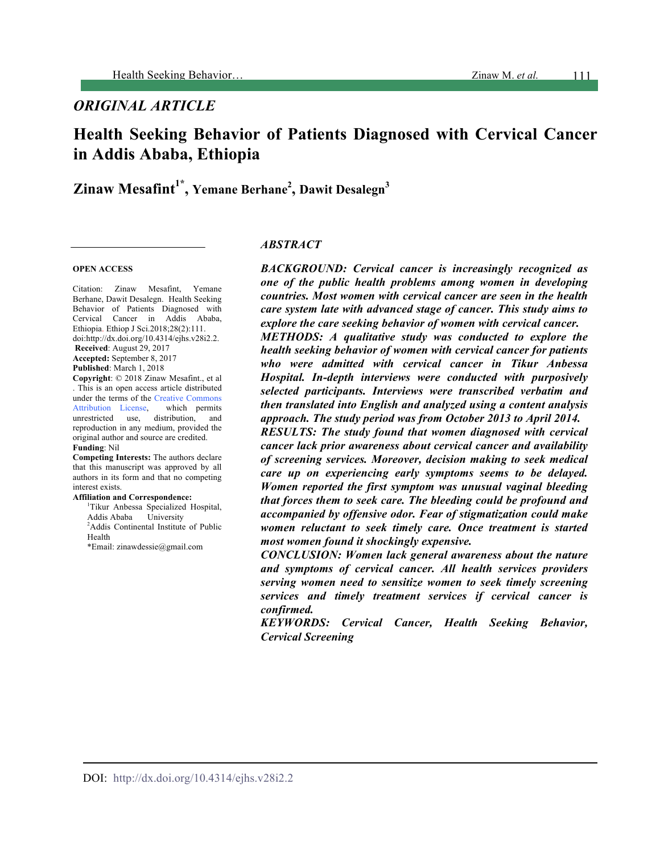111

# *ORIGINAL ARTICLE*

# **Health Seeking Behavior of Patients Diagnosed with Cervical Cancer in Addis Ababa, Ethiopia**

**Zinaw Mesafint1\* , Yemane Berhane 2 , Dawit Desalegn<sup>3</sup>**

#### **OPEN ACCESS**

Citation: Zinaw Mesafint, Yemane Berhane, Dawit Desalegn. Health Seeking Behavior of Patients Diagnosed with Cervical Cancer in Addis Ababa, Ethiopia. Ethiop J Sci.2018;28(2):111. doi:http://dx.doi.org/10.4314/ejhs.v28i2.2. **Received**: August 29, 2017

**Accepted:** September 8, 2017 **Published**: March 1, 2018

**Copyright**: © 2018 Zinaw Mesafint., et al . This is an open access article distributed under the terms of the Creative Commons Attribution License, which permits unrestricted use, distribution, and reproduction in any medium, provided the original author and source are credited. **Funding**: Nil

**Competing Interests:** The authors declare that this manuscript was approved by all authors in its form and that no competing interest exists.

#### **Affiliation and Correspondence:**

1 Tikur Anbessa Specialized Hospital, Addis Ababa University <sup>2</sup>Addis Continental Institute of Public Health

\*Email: zinawdessie@gmail.com

#### *ABSTRACT*

*BACKGROUND: Cervical cancer is increasingly recognized as one of the public health problems among women in developing countries. Most women with cervical cancer are seen in the health care system late with advanced stage of cancer. This study aims to explore the care seeking behavior of women with cervical cancer. METHODS: A qualitative study was conducted to explore the* 

*health seeking behavior of women with cervical cancer for patients who were admitted with cervical cancer in Tikur Anbessa Hospital. In-depth interviews were conducted with purposively selected participants. Interviews were transcribed verbatim and then translated into English and analyzed using a content analysis approach. The study period was from October 2013 to April 2014.* 

*RESULTS: The study found that women diagnosed with cervical cancer lack prior awareness about cervical cancer and availability of screening services. Moreover, decision making to seek medical care up on experiencing early symptoms seems to be delayed. Women reported the first symptom was unusual vaginal bleeding that forces them to seek care. The bleeding could be profound and accompanied by offensive odor. Fear of stigmatization could make women reluctant to seek timely care. Once treatment is started most women found it shockingly expensive.*

*CONCLUSION: Women lack general awareness about the nature and symptoms of cervical cancer. All health services providers serving women need to sensitize women to seek timely screening services and timely treatment services if cervical cancer is confirmed.* 

*KEYWORDS: Cervical Cancer, Health Seeking Behavior, Cervical Screening*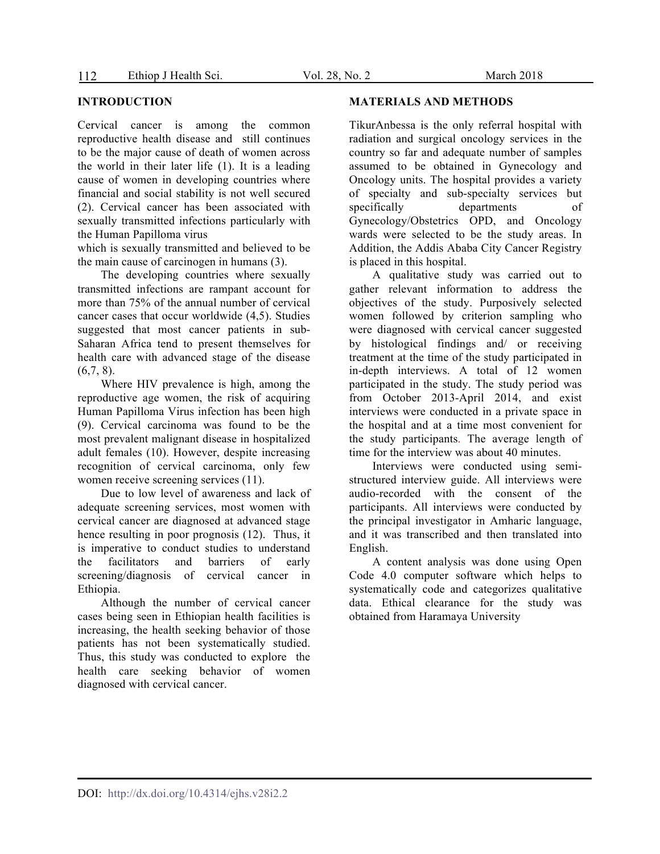### **INTRODUCTION**

Cervical cancer is among the common reproductive health disease and still continues to be the major cause of death of women across the world in their later life (1). It is a leading cause of women in developing countries where financial and social stability is not well secured (2). Cervical cancer has been associated with sexually transmitted infections particularly with the Human Papilloma virus

which is sexually transmitted and believed to be the main cause of carcinogen in humans (3).

The developing countries where sexually transmitted infections are rampant account for more than 75% of the annual number of cervical cancer cases that occur worldwide (4,5). Studies suggested that most cancer patients in sub-Saharan Africa tend to present themselves for health care with advanced stage of the disease  $(6.7, 8)$ .

Where HIV prevalence is high, among the reproductive age women, the risk of acquiring Human Papilloma Virus infection has been high (9). Cervical carcinoma was found to be the most prevalent malignant disease in hospitalized adult females (10). However, despite increasing recognition of cervical carcinoma, only few women receive screening services (11).

Due to low level of awareness and lack of adequate screening services, most women with cervical cancer are diagnosed at advanced stage hence resulting in poor prognosis (12). Thus, it is imperative to conduct studies to understand the facilitators and barriers of early screening/diagnosis of cervical cancer in Ethiopia.

Although the number of cervical cancer cases being seen in Ethiopian health facilities is increasing, the health seeking behavior of those patients has not been systematically studied. Thus, this study was conducted to explore the health care seeking behavior of women diagnosed with cervical cancer.

#### **MATERIALS AND METHODS**

TikurAnbessa is the only referral hospital with radiation and surgical oncology services in the country so far and adequate number of samples assumed to be obtained in Gynecology and Oncology units. The hospital provides a variety of specialty and sub-specialty services but specifically departments of Gynecology/Obstetrics OPD, and Oncology wards were selected to be the study areas. In Addition, the Addis Ababa City Cancer Registry is placed in this hospital.

A qualitative study was carried out to gather relevant information to address the objectives of the study. Purposively selected women followed by criterion sampling who were diagnosed with cervical cancer suggested by histological findings and/ or receiving treatment at the time of the study participated in in-depth interviews. A total of 12 women participated in the study. The study period was from October 2013-April 2014, and exist interviews were conducted in a private space in the hospital and at a time most convenient for the study participants. The average length of time for the interview was about 40 minutes.

Interviews were conducted using semistructured interview guide. All interviews were audio-recorded with the consent of the participants. All interviews were conducted by the principal investigator in Amharic language, and it was transcribed and then translated into English.

A content analysis was done using Open Code 4.0 computer software which helps to systematically code and categorizes qualitative data. Ethical clearance for the study was obtained from Haramaya University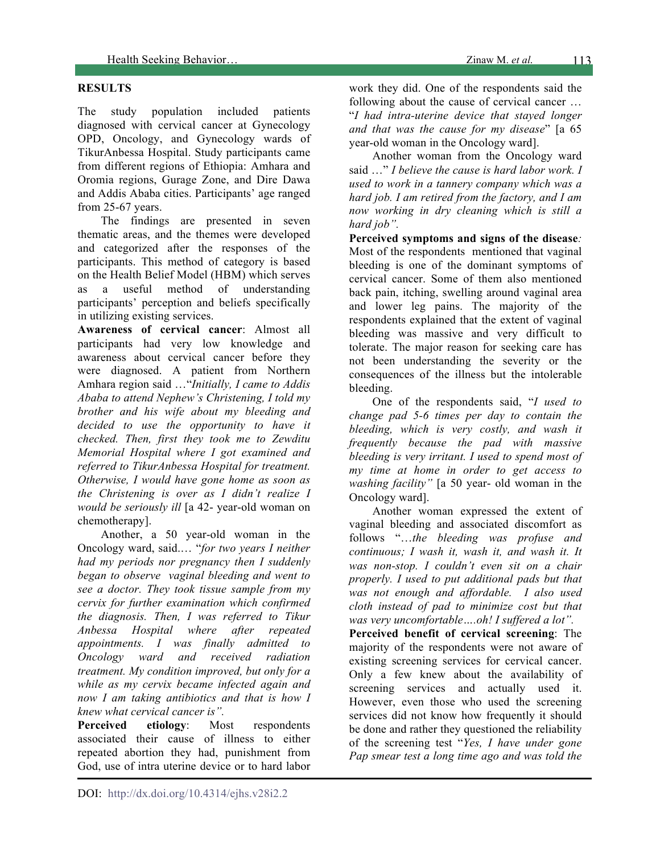### **RESULTS**

The study population included patients diagnosed with cervical cancer at Gynecology OPD, Oncology, and Gynecology wards of TikurAnbessa Hospital. Study participants came from different regions of Ethiopia: Amhara and Oromia regions, Gurage Zone, and Dire Dawa and Addis Ababa cities. Participants' age ranged from 25-67 years.

The findings are presented in seven thematic areas, and the themes were developed and categorized after the responses of the participants. This method of category is based on the Health Belief Model (HBM) which serves as a useful method of understanding participants' perception and beliefs specifically in utilizing existing services.

**Awareness of cervical cancer**: Almost all participants had very low knowledge and awareness about cervical cancer before they were diagnosed. A patient from Northern Amhara region said …"*Initially, I came to Addis Ababa to attend Nephew's Christening, I told my brother and his wife about my bleeding and decided to use the opportunity to have it checked. Then, first they took me to Zewditu Memorial Hospital where I got examined and referred to TikurAnbessa Hospital for treatment. Otherwise, I would have gone home as soon as the Christening is over as I didn't realize I would be seriously ill* [a 42- year-old woman on chemotherapy].

Another, a 50 year-old woman in the Oncology ward, said.… "*for two years I neither had my periods nor pregnancy then I suddenly began to observe vaginal bleeding and went to see a doctor. They took tissue sample from my cervix for further examination which confirmed the diagnosis. Then, I was referred to Tikur Anbessa Hospital where after repeated appointments. I was finally admitted to Oncology ward and received radiation treatment. My condition improved, but only for a while as my cervix became infected again and now I am taking antibiotics and that is how I knew what cervical cancer is".*

**Perceived etiology**: Most respondents associated their cause of illness to either repeated abortion they had, punishment from God, use of intra uterine device or to hard labor

work they did. One of the respondents said the following about the cause of cervical cancer … "*I had intra-uterine device that stayed longer and that was the cause for my disease*" [a 65 year-old woman in the Oncology ward].

Another woman from the Oncology ward said …" *I believe the cause is hard labor work. I used to work in a tannery company which was a hard job. I am retired from the factory, and I am now working in dry cleaning which is still a hard job".*

**Perceived symptoms and signs of the disease***:*  Most of the respondents mentioned that vaginal bleeding is one of the dominant symptoms of cervical cancer. Some of them also mentioned back pain, itching, swelling around vaginal area and lower leg pains. The majority of the respondents explained that the extent of vaginal bleeding was massive and very difficult to tolerate. The major reason for seeking care has not been understanding the severity or the consequences of the illness but the intolerable bleeding.

One of the respondents said, "*I used to change pad 5-6 times per day to contain the bleeding, which is very costly, and wash it frequently because the pad with massive bleeding is very irritant. I used to spend most of my time at home in order to get access to washing facility"* [a 50 year- old woman in the Oncology ward].

Another woman expressed the extent of vaginal bleeding and associated discomfort as follows "…*the bleeding was profuse and continuous; I wash it, wash it, and wash it. It was non-stop. I couldn't even sit on a chair properly. I used to put additional pads but that was not enough and affordable. I also used cloth instead of pad to minimize cost but that was very uncomfortable….oh! I suffered a lot".*

**Perceived benefit of cervical screening**: The majority of the respondents were not aware of existing screening services for cervical cancer. Only a few knew about the availability of screening services and actually used it. However, even those who used the screening services did not know how frequently it should be done and rather they questioned the reliability of the screening test "*Yes, I have under gone Pap smear test a long time ago and was told the*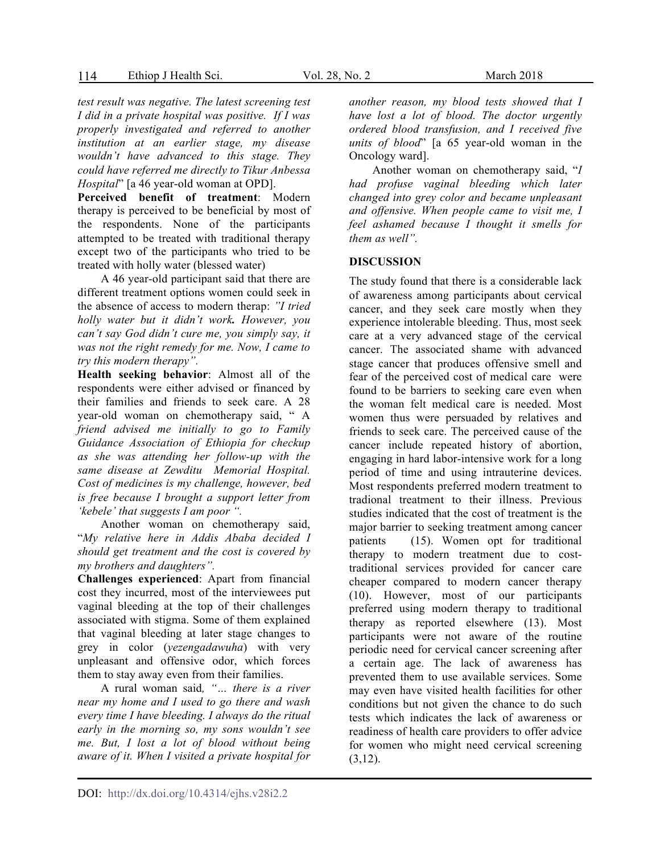Ethiop J Health Sci. Vol. 28, No. 2 March 2018 114

*test result was negative. The latest screening test I did in a private hospital was positive. If I was properly investigated and referred to another institution at an earlier stage, my disease wouldn't have advanced to this stage. They could have referred me directly to Tikur Anbessa Hospital*" [a 46 year-old woman at OPD].

**Perceived benefit of treatment**: Modern therapy is perceived to be beneficial by most of the respondents. None of the participants attempted to be treated with traditional therapy except two of the participants who tried to be treated with holly water (blessed water)

A 46 year-old participant said that there are different treatment options women could seek in the absence of access to modern therap: *"I tried holly water but it didn't work. However, you can't say God didn't cure me, you simply say, it was not the right remedy for me. Now, I came to try this modern therapy".* 

**Health seeking behavior**: Almost all of the respondents were either advised or financed by their families and friends to seek care. A 28 year-old woman on chemotherapy said, " A *friend advised me initially to go to Family Guidance Association of Ethiopia for checkup as she was attending her follow-up with the same disease at Zewditu Memorial Hospital. Cost of medicines is my challenge, however, bed is free because I brought a support letter from 'kebele' that suggests I am poor ".* 

Another woman on chemotherapy said, "*My relative here in Addis Ababa decided I should get treatment and the cost is covered by my brothers and daughters".*

**Challenges experienced**: Apart from financial cost they incurred, most of the interviewees put vaginal bleeding at the top of their challenges associated with stigma. Some of them explained that vaginal bleeding at later stage changes to grey in color (*yezengadawuha*) with very unpleasant and offensive odor, which forces them to stay away even from their families.

A rural woman said*, "… there is a river near my home and I used to go there and wash every time I have bleeding. I always do the ritual early in the morning so, my sons wouldn't see me. But, I lost a lot of blood without being aware of it. When I visited a private hospital for* 

*another reason, my blood tests showed that I have lost a lot of blood. The doctor urgently ordered blood transfusion, and I received five units of blood*" [a 65 year-old woman in the Oncology ward].

Another woman on chemotherapy said, "*I had profuse vaginal bleeding which later changed into grey color and became unpleasant and offensive. When people came to visit me, I feel ashamed because I thought it smells for them as well".*

### **DISCUSSION**

The study found that there is a considerable lack of awareness among participants about cervical cancer, and they seek care mostly when they experience intolerable bleeding. Thus, most seek care at a very advanced stage of the cervical cancer. The associated shame with advanced stage cancer that produces offensive smell and fear of the perceived cost of medical care were found to be barriers to seeking care even when the woman felt medical care is needed. Most women thus were persuaded by relatives and friends to seek care. The perceived cause of the cancer include repeated history of abortion, engaging in hard labor-intensive work for a long period of time and using intrauterine devices. Most respondents preferred modern treatment to tradional treatment to their illness. Previous studies indicated that the cost of treatment is the major barrier to seeking treatment among cancer patients (15). Women opt for traditional therapy to modern treatment due to costtraditional services provided for cancer care cheaper compared to modern cancer therapy (10). However, most of our participants preferred using modern therapy to traditional therapy as reported elsewhere (13). Most participants were not aware of the routine periodic need for cervical cancer screening after a certain age. The lack of awareness has prevented them to use available services. Some may even have visited health facilities for other conditions but not given the chance to do such tests which indicates the lack of awareness or readiness of health care providers to offer advice for women who might need cervical screening  $(3,12)$ .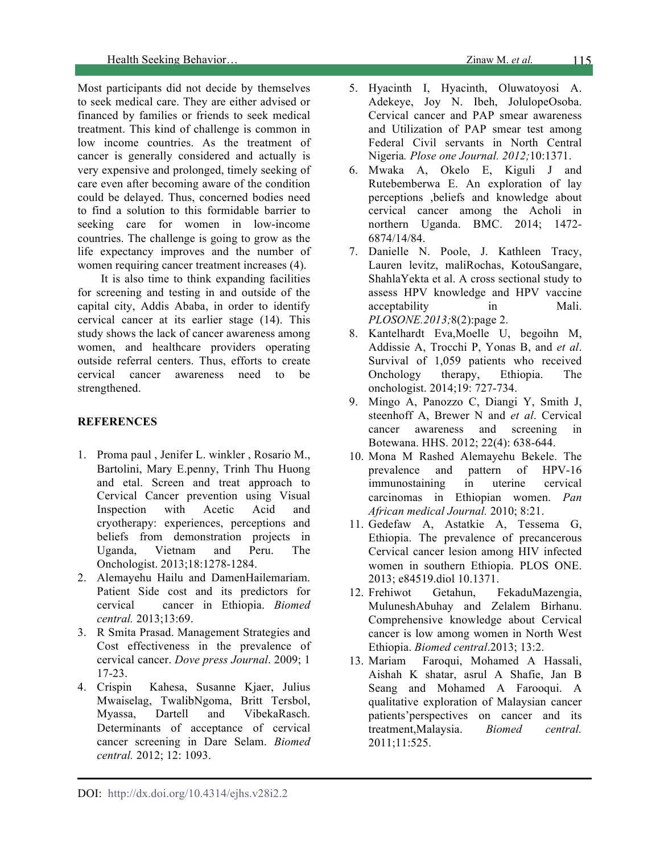Most participants did not decide by themselves to seek medical care. They are either advised or financed by families or friends to seek medical treatment. This kind of challenge is common in low income countries. As the treatment of cancer is generally considered and actually is very expensive and prolonged, timely seeking of care even after becoming aware of the condition could be delayed. Thus, concerned bodies need to find a solution to this formidable barrier to seeking care for women in low-income countries. The challenge is going to grow as the life expectancy improves and the number of women requiring cancer treatment increases (4).

It is also time to think expanding facilities for screening and testing in and outside of the capital city, Addis Ababa, in order to identify cervical cancer at its earlier stage (14). This study shows the lack of cancer awareness among women, and healthcare providers operating outside referral centers. Thus, efforts to create cervical cancer awareness need to be strengthened.

## **REFERENCES**

- 1. Proma paul , Jenifer L. winkler , Rosario M., Bartolini, Mary E.penny, Trinh Thu Huong and etal. Screen and treat approach to Cervical Cancer prevention using Visual Inspection with Acetic Acid and cryotherapy: experiences, perceptions and beliefs from demonstration projects in Uganda, Vietnam and Peru. The Onchologist. 2013;18:1278-1284.
- 2. Alemayehu Hailu and DamenHailemariam. Patient Side cost and its predictors for cervical cancer in Ethiopia. *Biomed central.* 2013;13:69.
- 3. R Smita Prasad. Management Strategies and Cost effectiveness in the prevalence of cervical cancer. *Dove press Journal*. 2009; 1 17-23.
- 4. Crispin Kahesa, Susanne Kjaer, Julius Mwaiselag, TwalibNgoma, Britt Tersbol, Myassa, Dartell and VibekaRasch. Determinants of acceptance of cervical cancer screening in Dare Selam. *Biomed central.* 2012; 12: 1093.
- 5. Hyacinth I, Hyacinth, Oluwatoyosi A. Adekeye, Joy N. Ibeh, JolulopeOsoba. Cervical cancer and PAP smear awareness and Utilization of PAP smear test among Federal Civil servants in North Central Nigeria*. Plose one Journal. 2012;*10:1371.
- 6. Mwaka A, Okelo E, Kiguli J and Rutebemberwa E. An exploration of lay perceptions ,beliefs and knowledge about cervical cancer among the Acholi in northern Uganda. BMC. 2014; 1472- 6874/14/84.
- 7. Danielle N. Poole, J. Kathleen Tracy, Lauren levitz, maliRochas, KotouSangare, ShahlaYekta et al. A cross sectional study to assess HPV knowledge and HPV vaccine acceptability in Mali. *PLOSONE.2013;*8(2):page 2.
- 8. Kantelhardt Eva,Moelle U, begoihn M, Addissie A, Trocchi P, Yonas B, and *et al*. Survival of 1,059 patients who received Onchology therapy, Ethiopia. The onchologist. 2014;19: 727-734.
- 9. Mingo A, Panozzo C, Diangi Y, Smith J, steenhoff A, Brewer N and *et al*. Cervical cancer awareness and screening in Botewana. HHS. 2012; 22(4): 638-644.
- 10. Mona M Rashed Alemayehu Bekele. The prevalence and pattern of HPV-16 immunostaining in uterine cervical carcinomas in Ethiopian women. *Pan African medical Journal.* 2010; 8:21.
- 11. Gedefaw A, Astatkie A, Tessema G, Ethiopia. The prevalence of precancerous Cervical cancer lesion among HIV infected women in southern Ethiopia. PLOS ONE. 2013; e84519.diol 10.1371.
- 12. Frehiwot Getahun, FekaduMazengia, MuluneshAbuhay and Zelalem Birhanu. Comprehensive knowledge about Cervical cancer is low among women in North West Ethiopia. *Biomed central*.2013; 13:2.
- 13. Mariam Faroqui, Mohamed A Hassali, Aishah K shatar, asrul A Shafie, Jan B Seang and Mohamed A Farooqui. A qualitative exploration of Malaysian cancer patients'perspectives on cancer and its treatment,Malaysia. *Biomed central.*  2011;11:525.